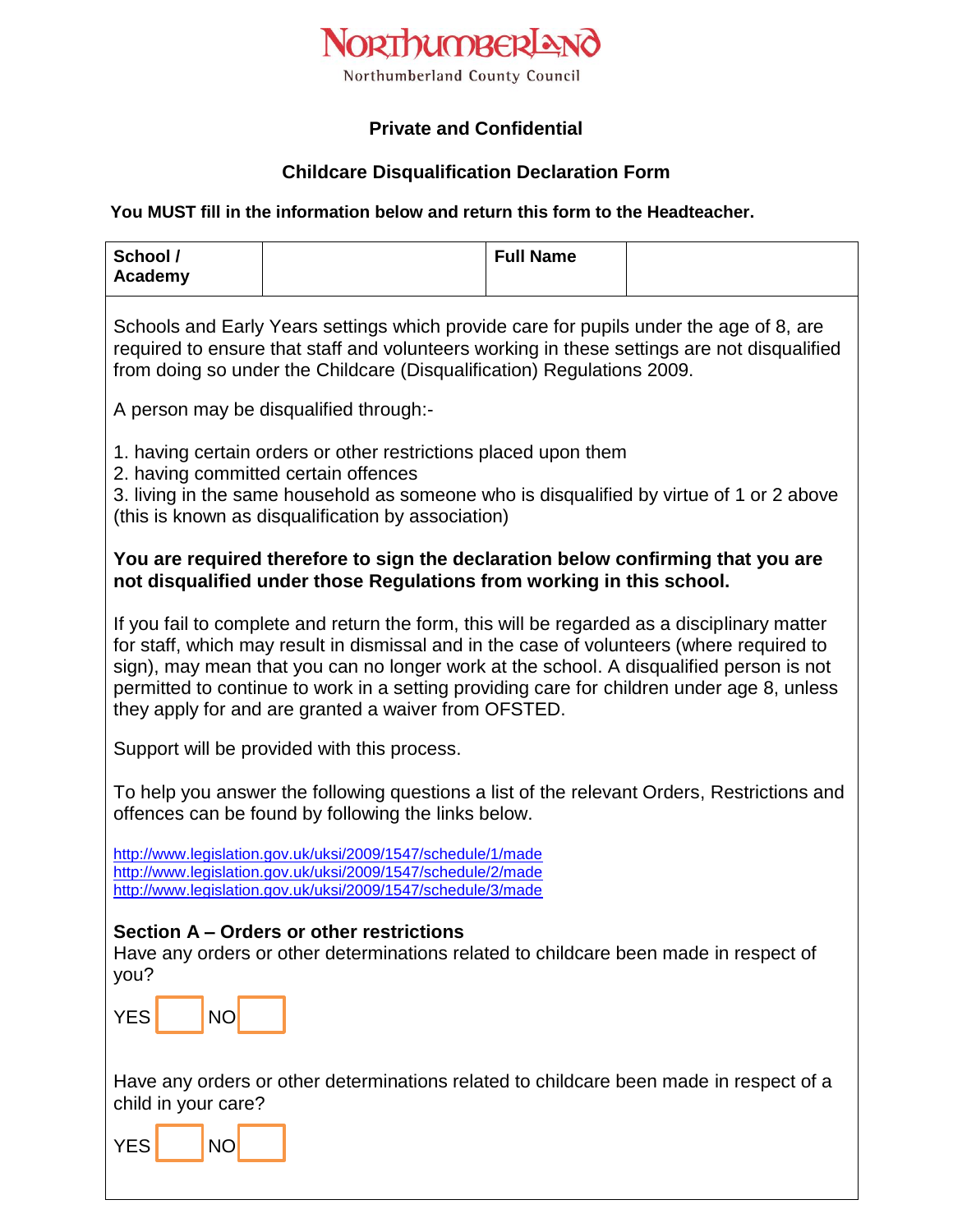

# **Private and Confidential**

### **Childcare Disqualification Declaration Form**

#### **You MUST fill in the information below and return this form to the Headteacher.**

| School /<br>Academy                                                                                                                                                                                                                                                                                                                                                                                                                       |  | <b>Full Name</b> |  |
|-------------------------------------------------------------------------------------------------------------------------------------------------------------------------------------------------------------------------------------------------------------------------------------------------------------------------------------------------------------------------------------------------------------------------------------------|--|------------------|--|
| Schools and Early Years settings which provide care for pupils under the age of 8, are<br>required to ensure that staff and volunteers working in these settings are not disqualified<br>from doing so under the Childcare (Disqualification) Regulations 2009.                                                                                                                                                                           |  |                  |  |
| A person may be disqualified through:-                                                                                                                                                                                                                                                                                                                                                                                                    |  |                  |  |
| 1. having certain orders or other restrictions placed upon them<br>2. having committed certain offences<br>3. living in the same household as someone who is disqualified by virtue of 1 or 2 above<br>(this is known as disqualification by association)                                                                                                                                                                                 |  |                  |  |
|                                                                                                                                                                                                                                                                                                                                                                                                                                           |  |                  |  |
| You are required therefore to sign the declaration below confirming that you are<br>not disqualified under those Regulations from working in this school.                                                                                                                                                                                                                                                                                 |  |                  |  |
| If you fail to complete and return the form, this will be regarded as a disciplinary matter<br>for staff, which may result in dismissal and in the case of volunteers (where required to<br>sign), may mean that you can no longer work at the school. A disqualified person is not<br>permitted to continue to work in a setting providing care for children under age 8, unless<br>they apply for and are granted a waiver from OFSTED. |  |                  |  |
| Support will be provided with this process.                                                                                                                                                                                                                                                                                                                                                                                               |  |                  |  |
| To help you answer the following questions a list of the relevant Orders, Restrictions and<br>offences can be found by following the links below.                                                                                                                                                                                                                                                                                         |  |                  |  |
| http://www.legislation.gov.uk/uksi/2009/1547/schedule/1/made<br>http://www.legislation.gov.uk/uksi/2009/1547/schedule/2/made<br>http://www.legislation.gov.uk/uksi/2009/1547/schedule/3/made                                                                                                                                                                                                                                              |  |                  |  |
| Section A - Orders or other restrictions<br>Have any orders or other determinations related to childcare been made in respect of<br>you?                                                                                                                                                                                                                                                                                                  |  |                  |  |
| <b>YES</b><br>NO                                                                                                                                                                                                                                                                                                                                                                                                                          |  |                  |  |
| Have any orders or other determinations related to childcare been made in respect of a<br>child in your care?                                                                                                                                                                                                                                                                                                                             |  |                  |  |
| <b>YES</b><br><b>NO</b>                                                                                                                                                                                                                                                                                                                                                                                                                   |  |                  |  |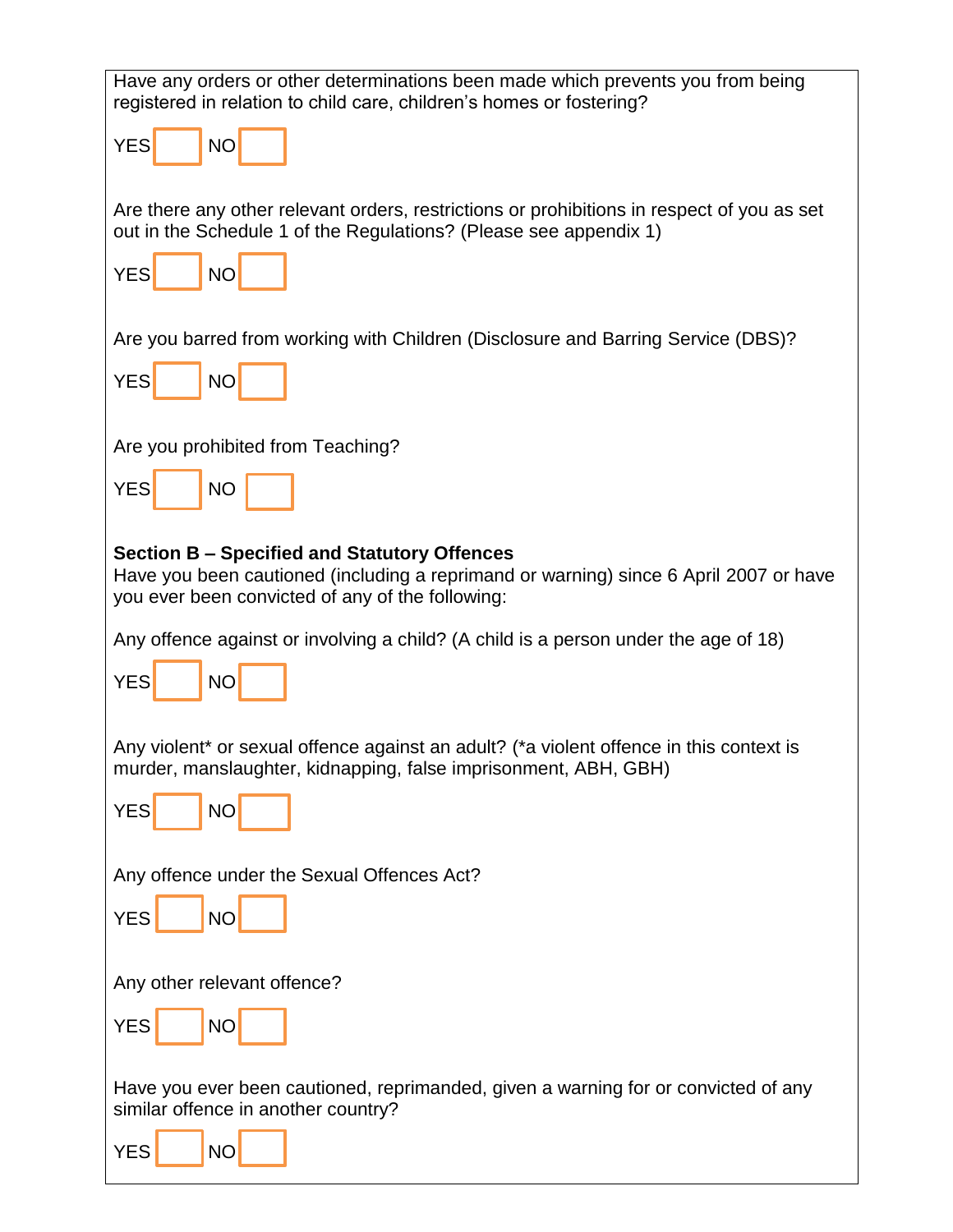| Have any orders or other determinations been made which prevents you from being<br>registered in relation to child care, children's homes or fostering?                                          |  |  |  |
|--------------------------------------------------------------------------------------------------------------------------------------------------------------------------------------------------|--|--|--|
| <b>YES</b><br><b>NO</b>                                                                                                                                                                          |  |  |  |
| Are there any other relevant orders, restrictions or prohibitions in respect of you as set<br>out in the Schedule 1 of the Regulations? (Please see appendix 1)                                  |  |  |  |
| <b>YES</b><br><b>NO</b>                                                                                                                                                                          |  |  |  |
| Are you barred from working with Children (Disclosure and Barring Service (DBS)?                                                                                                                 |  |  |  |
| <b>YES</b><br><b>NO</b>                                                                                                                                                                          |  |  |  |
| Are you prohibited from Teaching?                                                                                                                                                                |  |  |  |
| <b>YES</b><br><b>NO</b>                                                                                                                                                                          |  |  |  |
| <b>Section B – Specified and Statutory Offences</b><br>Have you been cautioned (including a reprimand or warning) since 6 April 2007 or have<br>you ever been convicted of any of the following: |  |  |  |
| Any offence against or involving a child? (A child is a person under the age of 18)                                                                                                              |  |  |  |
| <b>YES</b><br><b>NO</b>                                                                                                                                                                          |  |  |  |
| Any violent* or sexual offence against an adult? (*a violent offence in this context is<br>murder, manslaughter, kidnapping, false imprisonment, ABH, GBH)                                       |  |  |  |
| <b>YES</b><br><b>NO</b>                                                                                                                                                                          |  |  |  |
| Any offence under the Sexual Offences Act?                                                                                                                                                       |  |  |  |
| <b>YES</b><br><b>NO</b>                                                                                                                                                                          |  |  |  |
| Any other relevant offence?                                                                                                                                                                      |  |  |  |
| <b>YES</b><br><b>NO</b>                                                                                                                                                                          |  |  |  |
| Have you ever been cautioned, reprimanded, given a warning for or convicted of any<br>similar offence in another country?                                                                        |  |  |  |
| <b>YES</b><br><b>NO</b>                                                                                                                                                                          |  |  |  |